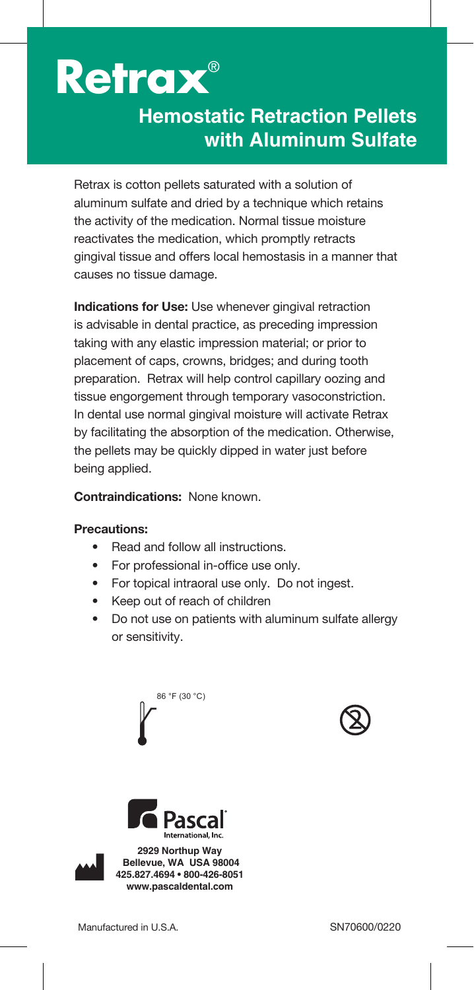

## **Hemostatic Retraction Pellets with Aluminum Sulfate**

Retrax is cotton pellets saturated with a solution of aluminum sulfate and dried by a technique which retains the activity of the medication. Normal tissue moisture reactivates the medication, which promptly retracts gingival tissue and offers local hemostasis in a manner that causes no tissue damage.

**Indications for Use:** Use whenever gingival retraction is advisable in dental practice, as preceding impression taking with any elastic impression material; or prior to placement of caps, crowns, bridges; and during tooth preparation. Retrax will help control capillary oozing and tissue engorgement through temporary vasoconstriction. In dental use normal gingival moisture will activate Retrax by facilitating the absorption of the medication. Otherwise, the pellets may be quickly dipped in water just before being applied.

**Contraindications:** None known.

## **Precautions:**

- Read and follow all instructions.
- For professional in-office use only.
- For topical intraoral use only. Do not ingest.
- Keep out of reach of children
- Do not use on patients with aluminum sulfate allergy or sensitivity.









**2929 Northup Way Bellevue, WA USA 98004 425.827.4694 • 800-426-8051 www.pascaldental.com**